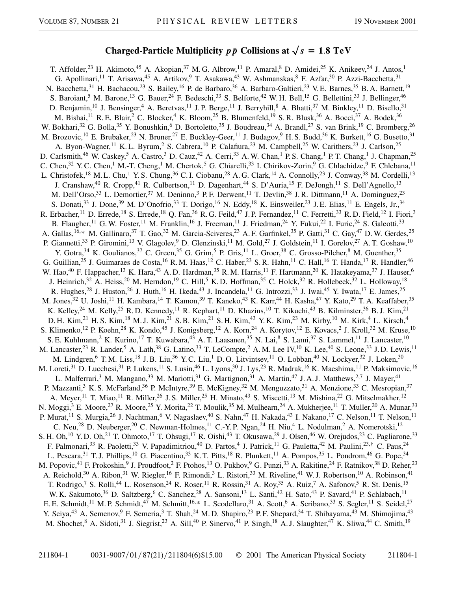## **Charged-Particle Multiplicity**  $p\bar{p}$  Collisions at  $\sqrt{s} = 1.8$  TeV

T. Affolder,<sup>23</sup> H. Akimoto,<sup>45</sup> A. Akopian,<sup>37</sup> M. G. Albrow,<sup>11</sup> P. Amaral,<sup>8</sup> D. Amidei,<sup>25</sup> K. Anikeev,<sup>24</sup> J. Antos,<sup>1</sup> G. Apollinari,<sup>11</sup> T. Arisawa,<sup>45</sup> A. Artikov,<sup>9</sup> T. Asakawa,<sup>43</sup> W. Ashmanskas,<sup>8</sup> F. Azfar,<sup>30</sup> P. Azzi-Bacchetta,<sup>31</sup> N. Bacchetta,<sup>31</sup> H. Bachacou,<sup>23</sup> S. Bailey,<sup>16</sup> P. de Barbaro,<sup>36</sup> A. Barbaro-Galtieri,<sup>23</sup> V.E. Barnes,<sup>35</sup> B.A. Barnett,<sup>19</sup> S. Baroiant,<sup>5</sup> M. Barone,<sup>13</sup> G. Bauer,<sup>24</sup> F. Bedeschi,<sup>33</sup> S. Belforte,<sup>42</sup> W. H. Bell,<sup>15</sup> G. Bellettini,<sup>33</sup> J. Bellinger,<sup>46</sup> D. Benjamin,<sup>10</sup> J. Bensinger,<sup>4</sup> A. Beretvas,<sup>11</sup> J. P. Berge,<sup>11</sup> J. Berryhill,<sup>8</sup> A. Bhatti,<sup>37</sup> M. Binkley,<sup>11</sup> D. Bisello,<sup>31</sup> M. Bishai,<sup>11</sup> R. E. Blair,<sup>2</sup> C. Blocker,<sup>4</sup> K. Bloom,<sup>25</sup> B. Blumenfeld,<sup>19</sup> S. R. Blusk,<sup>36</sup> A. Bocci,<sup>37</sup> A. Bodek,<sup>36</sup> W. Bokhari,<sup>32</sup> G. Bolla,<sup>35</sup> Y. Bonushkin,<sup>6</sup> D. Bortoletto,<sup>35</sup> J. Boudreau,<sup>34</sup> A. Brandl,<sup>27</sup> S. van Brink,<sup>19</sup> C. Bromberg,<sup>26</sup> M. Brozovic,<sup>10</sup> E. Brubaker,<sup>23</sup> N. Bruner,<sup>27</sup> E. Buckley-Geer,<sup>11</sup> J. Budagov,<sup>9</sup> H. S. Budd,<sup>36</sup> K. Burkett,<sup>16</sup> G. Busetto,<sup>31</sup> A. Byon-Wagner,<sup>11</sup> K.L. Byrum,<sup>2</sup> S. Cabrera,<sup>10</sup> P. Calafiura,<sup>23</sup> M. Campbell,<sup>25</sup> W. Carithers,<sup>23</sup> J. Carlson,<sup>25</sup> D. Carlsmith,<sup>46</sup> W. Caskey,<sup>5</sup> A. Castro,<sup>3</sup> D. Cauz,<sup>42</sup> A. Cerri,<sup>33</sup> A. W. Chan,<sup>1</sup> P. S. Chang,<sup>1</sup> P. T. Chang,<sup>1</sup> J. Chapman,<sup>25</sup> C. Chen,<sup>32</sup> Y. C. Chen,<sup>1</sup> M.-T. Cheng,<sup>1</sup> M. Chertok,<sup>5</sup> G. Chiarelli,<sup>33</sup> I. Chirikov-Zorin,<sup>9</sup> G. Chlachidze,<sup>9</sup> F. Chlebana,<sup>11</sup> L. Christofek,<sup>18</sup> M. L. Chu,<sup>1</sup> Y. S. Chung,<sup>36</sup> C. I. Ciobanu,<sup>28</sup> A. G. Clark,<sup>14</sup> A. Connolly,<sup>23</sup> J. Conway,<sup>38</sup> M. Cordelli,<sup>13</sup> J. Cranshaw,<sup>40</sup> R. Cropp,<sup>41</sup> R. Culbertson,<sup>11</sup> D. Dagenhart,<sup>44</sup> S. D'Auria,<sup>15</sup> F. DeJongh,<sup>11</sup> S. Dell'Agnello,<sup>13</sup> M. Dell'Orso,<sup>33</sup> L. Demortier,<sup>37</sup> M. Deninno,<sup>3</sup> P. F. Derwent,<sup>11</sup> T. Devlin,<sup>38</sup> J. R. Dittmann,<sup>11</sup> A. Dominguez,<sup>23</sup> S. Donati,<sup>33</sup> J. Done,<sup>39</sup> M. D'Onofrio,<sup>33</sup> T. Dorigo,<sup>16</sup> N. Eddy,<sup>18</sup> K. Einsweiler,<sup>23</sup> J.E. Elias,<sup>11</sup> E. Engels, Jr.,<sup>34</sup> R. Erbacher,<sup>11</sup> D. Errede,<sup>18</sup> S. Errede,<sup>18</sup> Q. Fan,<sup>36</sup> R. G. Feild,<sup>47</sup> J. P. Fernandez,<sup>11</sup> C. Ferretti,<sup>33</sup> R. D. Field,<sup>12</sup> I. Fiori,<sup>3</sup> B. Flaugher,<sup>11</sup> G. W. Foster,<sup>11</sup> M. Franklin,<sup>16</sup> J. Freeman,<sup>11</sup> J. Friedman,<sup>24</sup> Y. Fukui,<sup>22</sup> I. Furic,<sup>24</sup> S. Galeotti,<sup>33</sup> A. Gallas,<sup>16,\*</sup> M. Gallinaro,<sup>37</sup> T. Gao,<sup>32</sup> M. Garcia-Sciveres,<sup>23</sup> A. F. Garfinkel,<sup>35</sup> P. Gatti,<sup>31</sup> C. Gay,<sup>47</sup> D. W. Gerdes,<sup>25</sup> P. Giannetti,<sup>33</sup> P. Giromini,<sup>13</sup> V. Glagolev,<sup>9</sup> D. Glenzinski,<sup>11</sup> M. Gold,<sup>27</sup> J. Goldstein,<sup>11</sup> I. Gorelov,<sup>27</sup> A. T. Goshaw,<sup>10</sup> Y. Gotra,<sup>34</sup> K. Goulianos,<sup>37</sup> C. Green,<sup>35</sup> G. Grim,<sup>5</sup> P. Gris,<sup>11</sup> L. Groer,<sup>38</sup> C. Grosso-Pilcher,<sup>8</sup> M. Guenther,<sup>35</sup> G. Guillian,<sup>25</sup> J. Guimaraes de Costa,<sup>16</sup> R. M. Haas,<sup>12</sup> C. Haber,<sup>23</sup> S. R. Hahn,<sup>11</sup> C. Hall,<sup>16</sup> T. Handa,<sup>17</sup> R. Handler,<sup>46</sup> W. Hao,<sup>40</sup> F. Happacher,<sup>13</sup> K. Hara,<sup>43</sup> A. D. Hardman,<sup>35</sup> R. M. Harris,<sup>11</sup> F. Hartmann,<sup>20</sup> K. Hatakeyama,<sup>37</sup> J. Hauser,<sup>6</sup> J. Heinrich,<sup>32</sup> A. Heiss,<sup>20</sup> M. Herndon,<sup>19</sup> C. Hill,<sup>5</sup> K.D. Hoffman,<sup>35</sup> C. Holck,<sup>32</sup> R. Hollebeek,<sup>32</sup> L. Holloway,<sup>18</sup> R. Hughes,<sup>28</sup> J. Huston,<sup>26</sup> J. Huth,<sup>16</sup> H. Ikeda,<sup>43</sup> J. Incandela,<sup>11</sup> G. Introzzi,<sup>33</sup> J. Iwai,<sup>45</sup> Y. Iwata,<sup>17</sup> E. James,<sup>25</sup> M. Jones,<sup>32</sup> U. Joshi,<sup>11</sup> H. Kambara,<sup>14</sup> T. Kamon,<sup>39</sup> T. Kaneko,<sup>43</sup> K. Karr,<sup>44</sup> H. Kasha,<sup>47</sup> Y. Kato,<sup>29</sup> T. A. Keaffaber,<sup>35</sup> K. Kelley,<sup>24</sup> M. Kelly,<sup>25</sup> R. D. Kennedy,<sup>11</sup> R. Kephart,<sup>11</sup> D. Khazins,<sup>10</sup> T. Kikuchi,<sup>43</sup> B. Kilminster,<sup>36</sup> B. J. Kim,<sup>21</sup> D. H. Kim, $^{21}$  H. S. Kim, $^{18}$  M. J. Kim, $^{21}$  S. B. Kim, $^{21}$  S. H. Kim, $^{43}$  Y. K. Kim, $^{23}$  M. Kirby, $^{10}$  M. Kirk, $^{4}$  L. Kirsch, $^{4}$ S. Klimenko,<sup>12</sup> P. Koehn,<sup>28</sup> K. Kondo,<sup>45</sup> J. Konigsberg,<sup>12</sup> A. Korn,<sup>24</sup> A. Korytov,<sup>12</sup> E. Kovacs,<sup>2</sup> J. Kroll,<sup>32</sup> M. Kruse,<sup>10</sup> S. E. Kuhlmann,<sup>2</sup> K. Kurino,<sup>17</sup> T. Kuwabara,<sup>43</sup> A. T. Laasanen,<sup>35</sup> N. Lai,<sup>8</sup> S. Lami,<sup>37</sup> S. Lammel,<sup>11</sup> J. Lancaster,<sup>10</sup> M. Lancaster,<sup>23</sup> R. Lander,<sup>5</sup> A. Lath,<sup>38</sup> G. Latino,<sup>33</sup> T. LeCompte,<sup>2</sup> A. M. Lee IV,<sup>10</sup> K. Lee,<sup>40</sup> S. Leone,<sup>33</sup> J. D. Lewis,<sup>11</sup> M. Lindgren,<sup>6</sup> T. M. Liss,<sup>18</sup> J. B. Liu,<sup>36</sup> Y. C. Liu,<sup>1</sup> D. O. Litvintsev,<sup>11</sup> O. Lobban,<sup>40</sup> N. Lockyer,<sup>32</sup> J. Loken,<sup>30</sup> M. Loreti,<sup>31</sup> D. Lucchesi,<sup>31</sup> P. Lukens,<sup>11</sup> S. Lusin,<sup>46</sup> L. Lyons,<sup>30</sup> J. Lys,<sup>23</sup> R. Madrak,<sup>16</sup> K. Maeshima,<sup>11</sup> P. Maksimovic,<sup>16</sup> L. Malferrari,<sup>3</sup> M. Mangano,<sup>33</sup> M. Mariotti,<sup>31</sup> G. Martignon,<sup>31</sup> A. Martin,<sup>47</sup> J. A. J. Matthews,<sup>2,7</sup> J. Mayer,<sup>41</sup> P. Mazzanti,<sup>3</sup> K. S. McFarland,<sup>36</sup> P. McIntyre,<sup>39</sup> E. McKigney,<sup>32</sup> M. Menguzzato,<sup>31</sup> A. Menzione,<sup>33</sup> C. Mesropian,<sup>37</sup> A. Meyer,<sup>11</sup> T. Miao,<sup>11</sup> R. Miller,<sup>26</sup> J. S. Miller,<sup>25</sup> H. Minato,<sup>43</sup> S. Miscetti,<sup>13</sup> M. Mishina,<sup>22</sup> G. Mitselmakher,<sup>12</sup> N. Moggi,<sup>3</sup> E. Moore,<sup>27</sup> R. Moore,<sup>25</sup> Y. Morita,<sup>22</sup> T. Moulik,<sup>35</sup> M. Mulhearn,<sup>24</sup> A. Mukherjee,<sup>11</sup> T. Muller,<sup>20</sup> A. Munar,<sup>33</sup> P. Murat,<sup>11</sup> S. Murgia,<sup>26</sup> J. Nachtman,<sup>6</sup> V. Nagaslaev,<sup>40</sup> S. Nahn,<sup>47</sup> H. Nakada,<sup>43</sup> I. Nakano,<sup>17</sup> C. Nelson,<sup>11</sup> T. Nelson,<sup>11</sup> C. Neu,<sup>28</sup> D. Neuberger,<sup>20</sup> C. Newman-Holmes,<sup>11</sup> C.-Y.P. Ngan,<sup>24</sup> H. Niu,<sup>4</sup> L. Nodulman,<sup>2</sup> A. Nomerotski,<sup>12</sup> S. H. Oh,<sup>10</sup> Y. D. Oh,<sup>21</sup> T. Ohmoto,<sup>17</sup> T. Ohsugi,<sup>17</sup> R. Oishi,<sup>43</sup> T. Okusawa,<sup>29</sup> J. Olsen,<sup>46</sup> W. Orejudos,<sup>23</sup> C. Pagliarone,<sup>33</sup> F. Palmonari,<sup>33</sup> R. Paoletti,<sup>33</sup> V. Papadimitriou,<sup>40</sup> D. Partos,<sup>4</sup> J. Patrick,<sup>11</sup> G. Pauletta,<sup>42</sup> M. Paulini,<sup>23,†</sup> C. Paus,<sup>24</sup> L. Pescara,<sup>31</sup> T. J. Phillips,<sup>10</sup> G. Piacentino,<sup>33</sup> K. T. Pitts,<sup>18</sup> R. Plunkett,<sup>11</sup> A. Pompos,<sup>35</sup> L. Pondrom,<sup>46</sup> G. Pope,<sup>34</sup> M. Popovic,<sup>41</sup> F. Prokoshin,<sup>9</sup> J. Proudfoot,<sup>2</sup> F. Ptohos,<sup>13</sup> O. Pukhov,<sup>9</sup> G. Punzi,<sup>33</sup> A. Rakitine,<sup>24</sup> F. Ratnikov,<sup>38</sup> D. Reher,<sup>23</sup> A. Reichold,<sup>30</sup> A. Ribon,<sup>31</sup> W. Riegler,<sup>16</sup> F. Rimondi,<sup>3</sup> L. Ristori,<sup>33</sup> M. Riveline,<sup>41</sup> W. J. Robertson,<sup>10</sup> A. Robinson,<sup>41</sup> T. Rodrigo,<sup>7</sup> S. Rolli,<sup>44</sup> L. Rosenson,<sup>24</sup> R. Roser,<sup>11</sup> R. Rossin,<sup>31</sup> A. Roy,<sup>35</sup> A. Ruiz,<sup>7</sup> A. Safonov,<sup>5</sup> R. St. Denis,<sup>15</sup> W. K. Sakumoto,<sup>36</sup> D. Saltzberg, <sup>6</sup> C. Sanchez,<sup>28</sup> A. Sansoni,<sup>13</sup> L. Santi,<sup>42</sup> H. Sato,<sup>43</sup> P. Savard,<sup>41</sup> P. Schlabach,<sup>11</sup> E. E. Schmidt,<sup>11</sup> M. P. Schmidt,<sup>47</sup> M. Schmitt,<sup>16,\*</sup> L. Scodellaro,<sup>31</sup> A. Scott,<sup>6</sup> A. Scribano,<sup>33</sup> S. Segler,<sup>11</sup> S. Seidel,<sup>27</sup> Y. Seiya,<sup>43</sup> A. Semenov,<sup>9</sup> F. Semeria,<sup>3</sup> T. Shah,<sup>24</sup> M. D. Shapiro,<sup>23</sup> P. F. Shepard,<sup>34</sup> T. Shibayama,<sup>43</sup> M. Shimojima,<sup>43</sup> M. Shochet,  $8$  A. Sidoti,  $31$  J. Siegrist,  $23$  A. Sill,  $40$  P. Sinervo,  $41$  P. Singh,  $18$  A. J. Slaughter,  $47$  K. Sliwa,  $44$  C. Smith,  $19$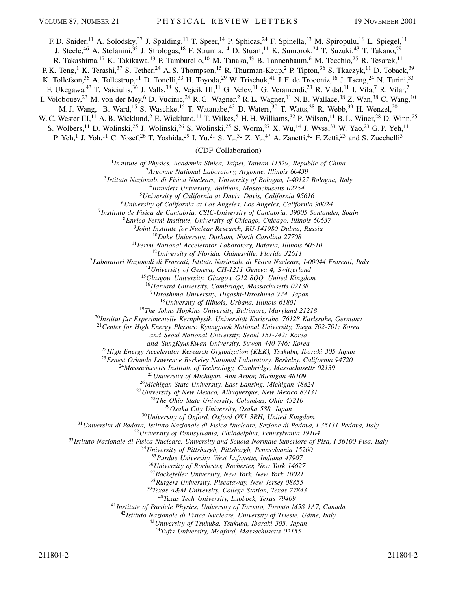F.D. Snider,<sup>11</sup> A. Solodsky,<sup>37</sup> J. Spalding,<sup>11</sup> T. Speer,<sup>14</sup> P. Sphicas,<sup>24</sup> F. Spinella,<sup>33</sup> M. Spiropulu,<sup>16</sup> L. Spiegel,<sup>11</sup> J. Steele,<sup>46</sup> A. Stefanini,<sup>33</sup> J. Strologas,<sup>18</sup> F. Strumia,<sup>14</sup> D. Stuart,<sup>11</sup> K. Sumorok,<sup>24</sup> T. Suzuki,<sup>43</sup> T. Takano,<sup>29</sup> R. Takashima,<sup>17</sup> K. Takikawa,<sup>43</sup> P. Tamburello,<sup>10</sup> M. Tanaka,<sup>43</sup> B. Tannenbaum,<sup>6</sup> M. Tecchio,<sup>25</sup> R. Tesarek,<sup>11</sup> P. K. Teng,<sup>1</sup> K. Terashi,<sup>37</sup> S. Tether,<sup>24</sup> A. S. Thompson,<sup>15</sup> R. Thurman-Keup,<sup>2</sup> P. Tipton,<sup>36</sup> S. Tkaczyk,<sup>11</sup> D. Toback,<sup>39</sup> K. Tollefson,<sup>36</sup> A. Tollestrup,<sup>11</sup> D. Tonelli,<sup>33</sup> H. Toyoda,<sup>29</sup> W. Trischuk,<sup>41</sup> J. F. de Troconiz,<sup>16</sup> J. Tseng,<sup>24</sup> N. Turini,<sup>33</sup> F. Ukegawa,<sup>43</sup> T. Vaiciulis,<sup>36</sup> J. Valls,<sup>38</sup> S. Vejcik III,<sup>11</sup> G. Velev,<sup>11</sup> G. Veramendi,<sup>23</sup> R. Vidal,<sup>11</sup> I. Vila,<sup>7</sup> R. Vilar,<sup>7</sup> I. Volobouev,<sup>23</sup> M. von der Mey,<sup>6</sup> D. Vucinic,<sup>24</sup> R. G. Wagner,<sup>2</sup> R. L. Wagner,<sup>11</sup> N. B. Wallace,<sup>38</sup> Z. Wan,<sup>38</sup> C. Wang,<sup>10</sup> M. J. Wang,<sup>1</sup> B. Ward,<sup>15</sup> S. Waschke,<sup>15</sup> T. Watanabe,<sup>43</sup> D. Waters,<sup>30</sup> T. Watts,<sup>38</sup> R. Webb,<sup>39</sup> H. Wenzel,<sup>20</sup> W. C. Wester III,<sup>11</sup> A. B. Wicklund,<sup>2</sup> E. Wicklund,<sup>11</sup> T. Wilkes,<sup>5</sup> H. H. Williams,<sup>32</sup> P. Wilson,<sup>11</sup> B. L. Winer,<sup>28</sup> D. Winn,<sup>25</sup> S. Wolbers,<sup>11</sup> D. Wolinski,<sup>25</sup> J. Wolinski,<sup>26</sup> S. Wolinski,<sup>25</sup> S. Worm,<sup>27</sup> X. Wu,<sup>14</sup> J. Wyss,<sup>33</sup> W. Yao,<sup>23</sup> G. P. Yeh,<sup>11</sup>

P. Yeh,<sup>1</sup> J. Yoh,<sup>11</sup> C. Yosef,<sup>26</sup> T. Yoshida,<sup>29</sup> I. Yu,<sup>21</sup> S. Yu,<sup>32</sup> Z. Yu,<sup>47</sup> A. Zanetti,<sup>42</sup> F. Zetti,<sup>23</sup> and S. Zucchelli<sup>3</sup>

(CDF Collaboration)

*Institute of Physics, Academia Sinica, Taipei, Taiwan 11529, Republic of China*

*Argonne National Laboratory, Argonne, Illinois 60439*

*Istituto Nazionale di Fisica Nucleare, University of Bologna, I-40127 Bologna, Italy*

*Brandeis University, Waltham, Massachusetts 02254*

*University of California at Davis, Davis, California 95616*

*University of California at Los Angeles, Los Angeles, California 90024*

*Instituto de Fisica de Cantabria, CSIC-University of Cantabria, 39005 Santander, Spain*

*Enrico Fermi Institute, University of Chicago, Chicago, Illinois 60637*

*Joint Institute for Nuclear Research, RU-141980 Dubna, Russia*

*Duke University, Durham, North Carolina 27708*

*Fermi National Accelerator Laboratory, Batavia, Illinois 60510*

*University of Florida, Gainesville, Florida 32611*

*Laboratori Nazionali di Frascati, Istituto Nazionale di Fisica Nucleare, I-00044 Frascati, Italy*

*University of Geneva, CH-1211 Geneva 4, Switzerland*

*Glasgow University, Glasgow G12 8QQ, United Kingdom*

*Harvard University, Cambridge, Massachusetts 02138*

*Hiroshima University, Higashi-Hiroshima 724, Japan*

*University of Illinois, Urbana, Illinois 61801*

*The Johns Hopkins University, Baltimore, Maryland 21218*

*Institut für Experimentelle Kernphysik, Universität Karlsruhe, 76128 Karlsruhe, Germany*

*Center for High Energy Physics: Kyungpook National University, Taegu 702-701; Korea*

*and Seoul National University, Seoul 151-742; Korea*

*and SungKyunKwan University, Suwon 440-746; Korea*

*High Energy Accelerator Research Organization (KEK), Tsukuba, Ibaraki 305 Japan*

*Ernest Orlando Lawrence Berkeley National Laboratory, Berkeley, California 94720*

*Massachusetts Institute of Technology, Cambridge, Massachusetts 02139*

*University of Michigan, Ann Arbor, Michigan 48109*

*Michigan State University, East Lansing, Michigan 48824*

*University of New Mexico, Albuquerque, New Mexico 87131*

*The Ohio State University, Columbus, Ohio 43210*

*Osaka City University, Osaka 588, Japan*

*University of Oxford, Oxford OX1 3RH, United Kingdom*

*Universita di Padova, Istituto Nazionale di Fisica Nucleare, Sezione di Padova, I-35131 Padova, Italy*

*University of Pennsylvania, Philadelphia, Pennsylvania 19104*

*Istituto Nazionale di Fisica Nucleare, University and Scuola Normale Superiore of Pisa, I-56100 Pisa, Italy*

*University of Pittsburgh, Pittsburgh, Pennsylvania 15260*

*Purdue University, West Lafayette, Indiana 47907*

*University of Rochester, Rochester, New York 14627*

*Rockefeller University, New York, New York 10021*

*Rutgers University, Piscataway, New Jersey 08855*

*Texas A&M University, College Station, Texas 77843*

*Texas Tech University, Lubbock, Texas 79409*

*Institute of Particle Physics, University of Toronto, Toronto M5S 1A7, Canada*

*Istituto Nazionale di Fisica Nucleare, University of Trieste, Udine, Italy*

*University of Tsukuba, Tsukuba, Ibaraki 305, Japan*

*Tufts University, Medford, Massachusetts 02155*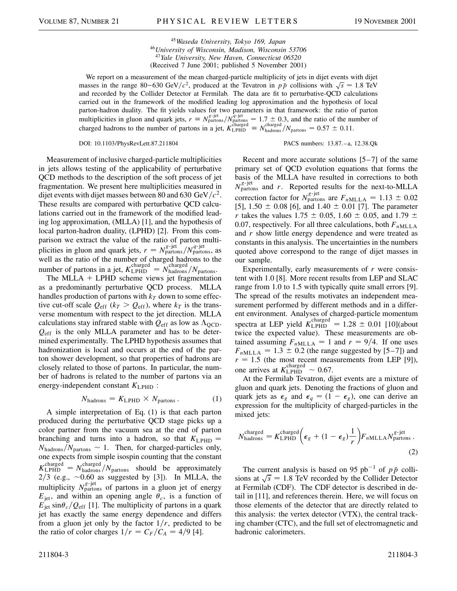*Waseda University, Tokyo 169, Japan University of Wisconsin, Madison, Wisconsin 53706 Yale University, New Haven, Connecticut 06520* (Received 7 June 2001; published 5 November 2001)

We report on a measurement of the mean charged-particle multiplicity of jets in dijet events with dijet masses in the range 80-630 GeV/ $c^2$ , produced at the Tevatron in  $p\bar{p}$  collisions with  $\sqrt{s} = 1.8$  TeV and recorded by the Collider Detector at Fermilab. The data are fit to perturbative-QCD calculations carried out in the framework of the modified leading log approximation and the hypothesis of local parton-hadron duality. The fit yields values for two parameters in that framework: the ratio of parton multiplicities in gluon and quark jets,  $r = N_{\text{partons}}^{\text{g-jet}}/N_{\text{partons}}^{\hat{q-jet}} = 1.7 \pm 0.3$ , and the ratio of the number of charged hadrons to the number of partons in a jet,  $K_{\text{LPHD}}^{\text{charged}} \equiv N_{\text{hadrons}}^{\text{charged}}/N_{\text{partons}} = 0.57 \pm 0.11$ .

DOI: 10.1103/PhysRevLett.87.211804 PACS numbers: 13.87.–a, 12.38.Qk

Measurement of inclusive charged-particle multiplicities in jets allows testing of the applicability of perturbative QCD methods to the description of the soft process of jet fragmentation. We present here multiplicities measured in dijet events with dijet masses between 80 and 630 GeV/ $c^2$ . These results are compared with perturbative QCD calculations carried out in the framework of the modified leading log approximation, (MLLA) [1], and the hypothesis of local parton-hadron duality, (LPHD) [2]. From this comparison we extract the value of the ratio of parton multiplicities in gluon and quark jets,  $r = N_{\text{partons}}^{g\text{-jet}}/N_{\text{partons}}^{q\text{-jet}}$ , as well as the ratio of the number of charged hadrons to the number of partons in a jet,  $K_{\text{LPHD}}^{\text{charged}} = N_{\text{hadrons}}^{\text{charged}}/N_{\text{partons}}$ .

The MLLA  $+$  LPHD scheme views jet fragmentation as a predominantly perturbative QCD process. MLLA handles production of partons with  $k_T$  down to some effective cut-off scale  $Q_{\text{eff}}$  ( $k_T > Q_{\text{eff}}$ ), where  $k_T$  is the transverse momentum with respect to the jet direction. MLLA calculations stay infrared stable with  $Q_{\text{eff}}$  as low as  $\Lambda_{\text{QCD}}$ . *Q*eff is the only MLLA parameter and has to be determined experimentally. The LPHD hypothesis assumes that hadronization is local and occurs at the end of the parton shower development, so that properties of hadrons are closely related to those of partons. In particular, the number of hadrons is related to the number of partons via an energy-independent constant  $K_{\text{LPHD}}$ :

$$
N_{\text{hadrons}} = K_{\text{LPHD}} \times N_{\text{partons}} \,. \tag{1}
$$

A simple interpretation of Eq. (1) is that each parton produced during the perturbative QCD stage picks up a color partner from the vacuum sea at the end of parton branching and turns into a hadron, so that  $K_{\text{LPHD}} =$  $N_{\text{hadrons}}/N_{\text{partons}} \sim 1$ . Then, for charged-particles only, one expects from simple isospin counting that the constant  $K_{\text{LPHD}}^{\text{charged}} = N_{\text{hadrons}}^{\text{charged}}/N_{\text{partons}}$  should be approximately  $2/3$  (e.g.,  $\sim 0.60$  as suggested by [3]). In MLLA, the multiplicity  $N_{\text{partons}}^{g-jet}$  of partons in a gluon jet of energy  $E_{\text{jet}}$ , and within an opening angle  $\theta_c$ , is a function of  $E_{\text{jet}} \sin \theta_c / Q_{\text{eff}}$  [1]. The multiplicity of partons in a quark jet has exactly the same energy dependence and differs from a gluon jet only by the factor  $1/r$ , predicted to be the ratio of color charges  $1/r = C_F/C_A = 4/9$  [4].

Recent and more accurate solutions [5–7] of the same primary set of QCD evolution equations that forms the basis of the MLLA have resulted in corrections to both  $N_{\text{partons}}^{\text{g-jet}}$  and *r*. Reported results for the next-to-MLLA correction factor for  $N_{\text{partons}}^{g\text{-jet}}$  are  $F_{nMLLA} = 1.13 \pm 0.02$ [5],  $1.50 \pm 0.08$  [6], and  $1.40 \pm 0.01$  [7]. The parameter *r* takes the values 1.75  $\pm$  0.05, 1.60  $\pm$  0.05, and 1.79  $\pm$ 0.07, respectively. For all three calculations, both  $F_{nMLLA}$ and *r* show little energy dependence and were treated as constants in this analysis. The uncertainties in the numbers quoted above correspond to the range of dijet masses in our sample.

Experimentally, early measurements of *r* were consistent with 1.0 [8]. More recent results from LEP and SLAC range from 1.0 to 1.5 with typically quite small errors [9]. The spread of the results motivates an independent measurement performed by different methods and in a different environment. Analyses of charged-particle momentum spectra at LEP yield  $K_{\text{LPHD}}^{\text{charged}} = 1.28 \pm 0.01$  [10](about twice the expected value). These measurements are obtained assuming  $F_{nMLLA} = 1$  and  $r = 9/4$ . If one uses  $F_{nMLLA}$  = 1.3  $\pm$  0.2 (the range suggested by [5–7]) and  $r = 1.5$  (the most recent measurements from LEP [9]), one arrives at  $K_{\text{LPHD}}^{\text{charged}} \sim 0.67$ .

At the Fermilab Tevatron, dijet events are a mixture of gluon and quark jets. Denoting the fractions of gluon and quark jets as  $\epsilon_g$  and  $\epsilon_g = (1 - \epsilon_g)$ , one can derive an expression for the multiplicity of charged-particles in the mixed jets:

$$
N_{\text{hadrons}}^{\text{charged}} = K_{\text{LPHD}}^{\text{charged}} \left( \epsilon_g + (1 - \epsilon_g) \frac{1}{r} \right) F_{n \text{MLLA}} N_{\text{partons}}^{g \text{-jet}} \,. \tag{2}
$$

The current analysis is based on 95 pb<sup>-1</sup> of  $p\bar{p}$  collisions at  $\sqrt{s}$  = 1.8 TeV recorded by the Collider Detector at Fermilab (CDF). The CDF detector is described in detail in [11], and references therein. Here, we will focus on those elements of the detector that are directly related to this analysis: the vertex detector (VTX), the central tracking chamber (CTC), and the full set of electromagnetic and hadronic calorimeters.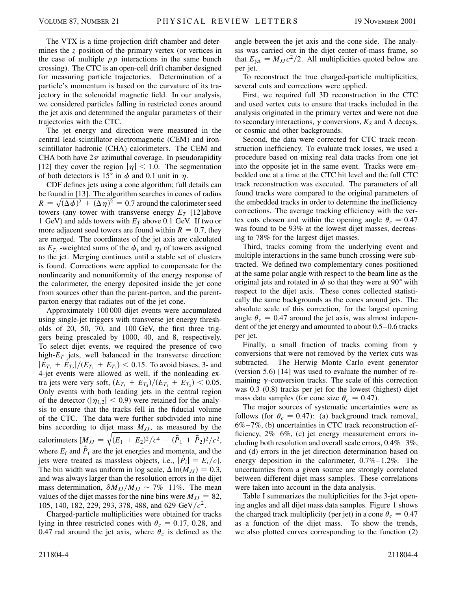The VTX is a time-projection drift chamber and determines the *z* position of the primary vertex (or vertices in the case of multiple  $p\bar{p}$  interactions in the same bunch crossing). The CTC is an open-cell drift chamber designed for measuring particle trajectories. Determination of a particle's momentum is based on the curvature of its trajectory in the solenoidal magnetic field. In our analysis, we considered particles falling in restricted cones around the jet axis and determined the angular parameters of their trajectories with the CTC.

The jet energy and direction were measured in the central lead-scintillator electromagnetic (CEM) and ironscintillator hadronic (CHA) calorimeters. The CEM and CHA both have  $2\pi$  azimuthal coverage. In pseudorapidity [12] they cover the region  $|\eta| < 1.0$ . The segmentation of both detectors is 15 $\degree$  in  $\phi$  and 0.1 unit in  $\eta$ .

CDF defines jets using a cone algorithm; full details can be found in [13]. The algorithm searches in cones of radius  $R = \sqrt{(\Delta \phi)^2 + (\Delta \eta)^2} = 0.7$  around the calorimeter seed towers (any tower with transverse energy  $E_T$  [12]above 1 GeV) and adds towers with  $E_T$  above 0.1 GeV. If two or more adjacent seed towers are found within  $R = 0.7$ , they are merged. The coordinates of the jet axis are calculated as  $E_{T_i}$  -weighted sums of the  $\phi_i$  and  $\eta_i$  of towers assigned to the jet. Merging continues until a stable set of clusters is found. Corrections were applied to compensate for the nonlinearity and nonuniformity of the energy response of the calorimeter, the energy deposited inside the jet cone from sources other than the parent-parton, and the parentparton energy that radiates out of the jet cone.

Approximately 100 000 dijet events were accumulated using single-jet triggers with transverse jet energy thresholds of 20, 50, 70, and 100 GeV, the first three triggers being prescaled by 1000, 40, and 8, respectively. To select dijet events, we required the presence of two high- $E_T$  jets, well balanced in the transverse direction:  $|\vec{E}_{T_1} + \vec{E}_{T_2}|/(E_{T_1} + E_{T_2})$  < 0.15. To avoid biases, 3- and 4-jet events were allowed as well, if the nonleading extra jets were very soft,  $(E_{T_3} + E_{T_4})/(E_{T_1} + E_{T_2}) < 0.05$ . Only events with both leading jets in the central region of the detector ( $|\eta_{1,2}| < 0.9$ ) were retained for the analysis to ensure that the tracks fell in the fiducial volume of the CTC. The data were further subdivided into nine bins according to dijet mass  $M_{JJ}$ , as measured by the calorimeters  $[M_{JJ} = \sqrt{(E_1 + E_2)^2/c^4 - (\vec{P}_1 + \vec{P}_2)^2/c^2},$ where  $E_i$  and  $\vec{P}_i$  are the jet energies and momenta, and the jets were treated as massless objects, i.e.,  $|\vec{P}_i| = E_i/c$ . The bin width was uniform in log scale,  $\Delta \ln(M_{JJ}) = 0.3$ , and was always larger than the resolution errors in the dijet mass determination,  $\delta M_{JJ}/M_{JJ} \sim 7\% - 11\%$ . The mean values of the dijet masses for the nine bins were  $M_{JJ} = 82$ , 105, 140, 182, 229, 293, 378, 488, and 629 GeV*c*2.

Charged-particle multiplicities were obtained for tracks lying in three restricted cones with  $\theta_c = 0.17, 0.28,$  and 0.47 rad around the jet axis, where  $\theta_c$  is defined as the angle between the jet axis and the cone side. The analysis was carried out in the dijet center-of-mass frame, so that  $E_{\text{jet}} = M_{JJ}c^2/2$ . All multiplicities quoted below are per jet.

To reconstruct the true charged-particle multiplicities, several cuts and corrections were applied.

First, we required full 3D reconstruction in the CTC and used vertex cuts to ensure that tracks included in the analysis originated in the primary vertex and were not due to secondary interactions,  $\gamma$  conversions,  $K_S$  and  $\Lambda$  decays, or cosmic and other backgrounds.

Second, the data were corrected for CTC track reconstruction inefficiency. To evaluate track losses, we used a procedure based on mixing real data tracks from one jet into the opposite jet in the same event. Tracks were embedded one at a time at the CTC hit level and the full CTC track reconstruction was executed. The parameters of all found tracks were compared to the original parameters of the embedded tracks in order to determine the inefficiency corrections. The average tracking efficiency with the vertex cuts chosen and within the opening angle  $\theta_c = 0.47$ was found to be 93% at the lowest dijet masses, decreasing to 78% for the largest dijet masses.

Third, tracks coming from the underlying event and multiple interactions in the same bunch crossing were subtracted. We defined two complementary cones positioned at the same polar angle with respect to the beam line as the original jets and rotated in  $\phi$  so that they were at 90 $^{\circ}$  with respect to the dijet axis. These cones collected statistically the same backgrounds as the cones around jets. The absolute scale of this correction, for the largest opening angle  $\theta_c = 0.47$  around the jet axis, was almost independent of the jet energy and amounted to about 0.5–0.6 tracks per jet.

Finally, a small fraction of tracks coming from  $\gamma$ conversions that were not removed by the vertex cuts was subtracted. The Herwig Monte Carlo event generator (version 5.6) [14] was used to evaluate the number of remaining  $\gamma$ -conversion tracks. The scale of this correction was 0.3 (0.8) tracks per jet for the lowest (highest) dijet mass data samples (for cone size  $\theta_c = 0.47$ ).

The major sources of systematic uncertainties were as follows (for  $\theta_c = 0.47$ ): (a) background track removal,  $6\% - 7\%$ , (b) uncertainties in CTC track reconstruction efficiency,  $2\% - 6\%$ , (c) jet energy measurement errors including both resolution and overall scale errors,  $0.4\% - 3\%$ , and (d) errors in the jet direction determination based on energy deposition in the calorimeter,  $0.7\%$  – 1.2%. The uncertainties from a given source are strongly correlated between different dijet mass samples. These correlations were taken into account in the data analysis.

Table I summarizes the multiplicities for the 3-jet opening angles and all dijet mass data samples. Figure 1 shows the charged track multiplicity (per jet) in a cone  $\theta_c = 0.47$ as a function of the dijet mass. To show the trends, we also plotted curves corresponding to the function (2)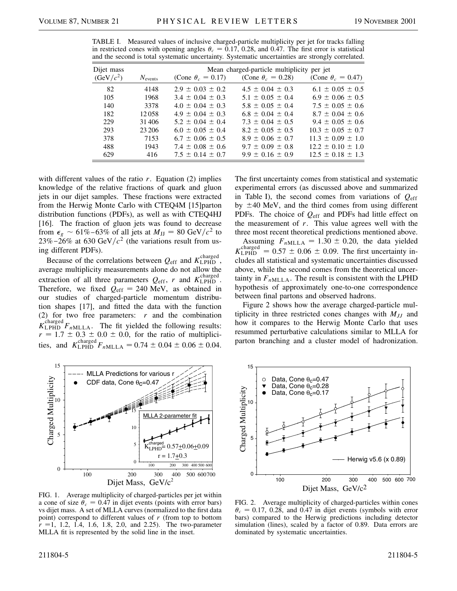| Dijet mass<br>(GeV/c <sup>2</sup> ) | $N_{\text{events}}$ | Mean charged-particle multiplicity per jet<br>(Cone $\theta_c = 0.28$ )<br>(Cone $\theta_c = 0.47$ )<br>(Cone $\theta_c = 0.17$ ) |                        |                         |
|-------------------------------------|---------------------|-----------------------------------------------------------------------------------------------------------------------------------|------------------------|-------------------------|
| 82                                  | 4148                | $2.9 \pm 0.03 \pm 0.2$                                                                                                            | $4.5 \pm 0.04 \pm 0.3$ | $6.1 \pm 0.05 \pm 0.5$  |
| 105                                 | 1968                | $3.4 \pm 0.04 \pm 0.3$                                                                                                            | $5.1 \pm 0.05 \pm 0.4$ | $6.9 \pm 0.06 \pm 0.5$  |
| 140                                 | 3378                | $4.0 \pm 0.04 \pm 0.3$                                                                                                            | $5.8 \pm 0.05 \pm 0.4$ | $7.5 \pm 0.05 \pm 0.6$  |
| 182                                 | 12058               | $4.9 \pm 0.04 \pm 0.3$                                                                                                            | $6.8 \pm 0.04 \pm 0.4$ | $8.7 \pm 0.04 \pm 0.6$  |
| 229                                 | 31406               | $5.2 \pm 0.04 \pm 0.4$                                                                                                            | $7.3 \pm 0.04 \pm 0.5$ | $9.4 \pm 0.05 \pm 0.6$  |
| 293                                 | 23 206              | $6.0 \pm 0.05 \pm 0.4$                                                                                                            | $8.2 \pm 0.05 \pm 0.5$ | $10.3 \pm 0.05 \pm 0.7$ |
| 378                                 | 7153                | $6.7 \pm 0.06 \pm 0.5$                                                                                                            | $8.9 \pm 0.06 \pm 0.7$ | $11.3 \pm 0.09 \pm 1.0$ |
| 488                                 | 1943                | $7.4 \pm 0.08 \pm 0.6$                                                                                                            | $9.7 \pm 0.09 \pm 0.8$ | $12.2 \pm 0.10 \pm 1.0$ |
| 629                                 | 416                 | $7.5 \pm 0.14 \pm 0.7$                                                                                                            | $9.9 \pm 0.16 \pm 0.9$ | $12.5 \pm 0.18 \pm 1.3$ |

TABLE I. Measured values of inclusive charged-particle multiplicity per jet for tracks falling in restricted cones with opening angles  $\theta_c = 0.17$ , 0.28, and 0.47. The first error is statistical and the second is total systematic uncertainty. Systematic uncertainties are strongly correlated.

with different values of the ratio *r*. Equation (2) implies knowledge of the relative fractions of quark and gluon jets in our dijet samples. These fractions were extracted from the Herwig Monte Carlo with CTEQ4M [15]parton distribution functions (PDFs), as well as with CTEQ4HJ [16]. The fraction of gluon jets was found to decrease from  $\epsilon_g \sim 61\% - 63\%$  of all jets at  $M_{\text{JJ}} = 80 \text{ GeV}/c^2$  to  $23\% - 26\%$  at 630 GeV/ $c<sup>2</sup>$  (the variations result from using different PDFs).

Because of the correlations between  $Q_{\text{eff}}$  and  $K_{\text{LPHD}}^{\text{charged}}$ , average multiplicity measurements alone do not allow the extraction of all three parameters  $Q_{\text{eff}}$ , *r* and  $K_{\text{LPHD}}^{\text{charged}}$ . Therefore, we fixed  $Q_{\text{eff}} = 240 \text{ MeV}$ , as obtained in our studies of charged-particle momentum distribution shapes [17], and fitted the data with the function (2) for two free parameters: *r* and the combination  $K_{\text{LPHD}}^{\text{charged}} F_{n\text{MLLA}}$ . The fit yielded the following results:  $r = 1.7 \pm 0.3 \pm 0.0 \pm 0.0$ , for the ratio of multiplicities, and  $K_{\text{LPHD}}^{\text{charged}} F_{n\text{MLLA}} = 0.74 \pm 0.04 \pm 0.06 \pm 0.04.$ 



FIG. 1. Average multiplicity of charged-particles per jet within a cone of size  $\theta_c = 0.47$  in dijet events (points with error bars) vs dijet mass. A set of MLLA curves (normalized to the first data point) correspond to different values of *r* (from top to bottom  $r = 1, 1.2, 1.4, 1.6, 1.8, 2.0,$  and 2.25). The two-parameter MLLA fit is represented by the solid line in the inset.

The first uncertainty comes from statistical and systematic experimental errors (as discussed above and summarized in Table I), the second comes from variations of  $Q_{\text{eff}}$ by  $\pm 40$  MeV, and the third comes from using different PDFs. The choice of *Q*eff and PDFs had little effect on the measurement of *r*. This value agrees well with the three most recent theoretical predictions mentioned above.

Assuming  $F_{nMLLA} = 1.30 \pm 0.20$ , the data yielded  $K_{\text{LPHD}}^{\text{charged}} = 0.57 \pm 0.06 \pm 0.09$ . The first uncertainty includes all statistical and systematic uncertainties discussed above, while the second comes from the theoretical uncertainty in  $F_{nMLLA}$ . The result is consistent with the LPHD hypothesis of approximately one-to-one correspondence between final partons and observed hadrons.

Figure 2 shows how the average charged-particle multiplicity in three restricted cones changes with *MJJ* and how it compares to the Herwig Monte Carlo that uses resummed perturbative calculations similar to MLLA for parton branching and a cluster model of hadronization.



FIG. 2. Average multiplicity of charged-particles within cones  $\theta_c = 0.17, 0.28,$  and 0.47 in dijet events (symbols with error bars) compared to the Herwig predictions including detector simulation (lines), scaled by a factor of 0.89. Data errors are dominated by systematic uncertainties.